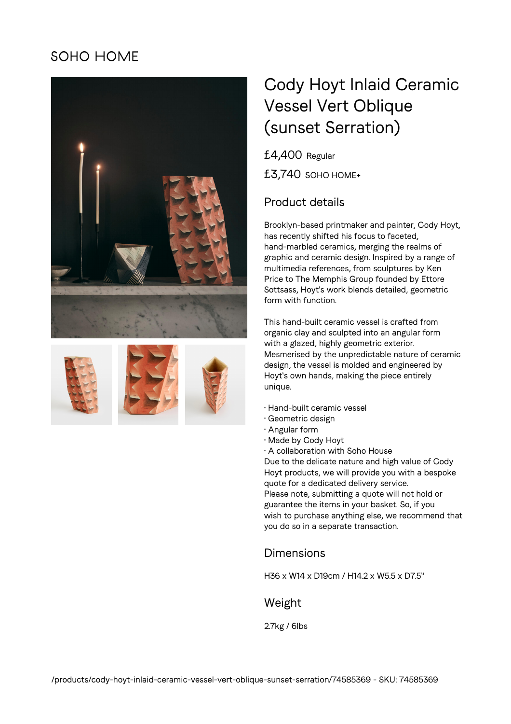# **SOHO HOME**









# Cody Hoyt Inlaid Ceramic Vessel Vert Oblique (sunset Serration)

£4,400 Regular £3,740 SOHO HOME+

### Product details

Brooklyn-based printmaker and painter, Cody Hoyt, has recently shifted his focus to faceted, hand-marbled ceramics, merging the realms of graphic and ceramic design. Inspired by a range of multimedia references, from sculptures by Ken Price to The Memphis Group founded by Ettore Sottsass, Hoyt's work blends detailed, geometric form with function.

This hand-built ceramic vessel is crafted from organic clay and sculpted into an angular form with a glazed, highly geometric exterior. Mesmerised by the unpredictable nature of ceramic design, the vessel is molded and engineered by Hoyt's own hands, making the piece entirely unique.

- Hand-built ceramic vessel
- Geometric design
- Angular form
- Made by Cody Hoyt
- A collaboration with Soho House

Due to the delicate nature and high value of Cody Hoyt products, we will provide you with a bespoke quote for a dedicated delivery service. Please note, submitting a quote will not hold or guarantee the items in your basket. So, if you wish to purchase anything else, we recommend that you do so in a separate transaction.

#### Dimensions

H36 x W14 x D19cm / H14.2 x W5.5 x D7.5"

#### Weight

2.7kg / 6lbs